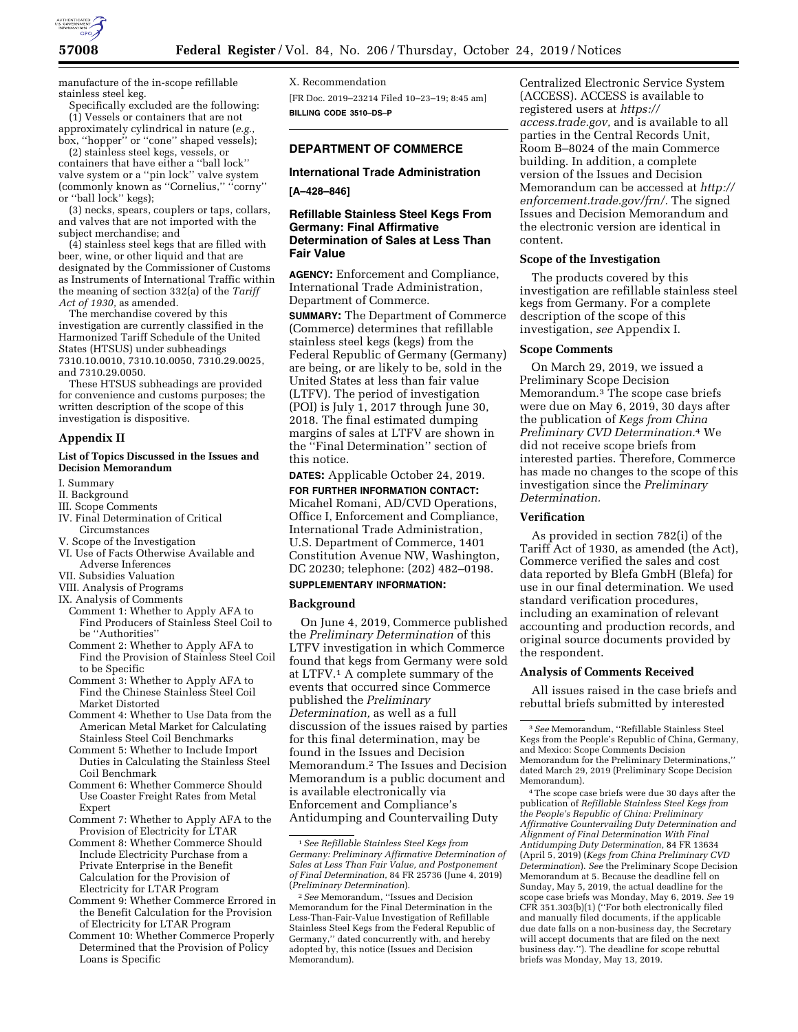

manufacture of the in-scope refillable stainless steel keg.

Specifically excluded are the following: (1) Vessels or containers that are not approximately cylindrical in nature (*e.g.,*  box, ''hopper'' or ''cone'' shaped vessels);

(2) stainless steel kegs, vessels, or containers that have either a ''ball lock'' valve system or a ''pin lock'' valve system (commonly known as ''Cornelius,'' ''corny'' or ''ball lock'' kegs);

(3) necks, spears, couplers or taps, collars, and valves that are not imported with the subject merchandise; and

(4) stainless steel kegs that are filled with beer, wine, or other liquid and that are designated by the Commissioner of Customs as Instruments of International Traffic within the meaning of section 332(a) of the *Tariff Act of 1930,* as amended.

The merchandise covered by this investigation are currently classified in the Harmonized Tariff Schedule of the United States (HTSUS) under subheadings 7310.10.0010, 7310.10.0050, 7310.29.0025, and 7310.29.0050.

These HTSUS subheadings are provided for convenience and customs purposes; the written description of the scope of this investigation is dispositive.

# **Appendix II**

# **List of Topics Discussed in the Issues and Decision Memorandum**

I. Summary

- II. Background
- III. Scope Comments
- IV. Final Determination of Critical
- Circumstances
- V. Scope of the Investigation
- VI. Use of Facts Otherwise Available and Adverse Inferences
- VII. Subsidies Valuation
- VIII. Analysis of Programs
- IX. Analysis of Comments
- Comment 1: Whether to Apply AFA to Find Producers of Stainless Steel Coil to be ''Authorities''
- Comment 2: Whether to Apply AFA to Find the Provision of Stainless Steel Coil to be Specific
- Comment 3: Whether to Apply AFA to Find the Chinese Stainless Steel Coil Market Distorted
- Comment 4: Whether to Use Data from the American Metal Market for Calculating Stainless Steel Coil Benchmarks
- Comment 5: Whether to Include Import Duties in Calculating the Stainless Steel Coil Benchmark
- Comment 6: Whether Commerce Should Use Coaster Freight Rates from Metal Expert
- Comment 7: Whether to Apply AFA to the Provision of Electricity for LTAR
- Comment 8: Whether Commerce Should Include Electricity Purchase from a Private Enterprise in the Benefit Calculation for the Provision of Electricity for LTAR Program
- Comment 9: Whether Commerce Errored in the Benefit Calculation for the Provision of Electricity for LTAR Program
- Comment 10: Whether Commerce Properly Determined that the Provision of Policy Loans is Specific

X. Recommendation [FR Doc. 2019–23214 Filed 10–23–19; 8:45 am] **BILLING CODE 3510–DS–P** 

# **DEPARTMENT OF COMMERCE**

# **International Trade Administration**

# **[A–428–846]**

# **Refillable Stainless Steel Kegs From Germany: Final Affirmative Determination of Sales at Less Than Fair Value**

**AGENCY:** Enforcement and Compliance, International Trade Administration, Department of Commerce.

**SUMMARY:** The Department of Commerce (Commerce) determines that refillable stainless steel kegs (kegs) from the Federal Republic of Germany (Germany) are being, or are likely to be, sold in the United States at less than fair value (LTFV). The period of investigation (POI) is July 1, 2017 through June 30, 2018. The final estimated dumping margins of sales at LTFV are shown in the ''Final Determination'' section of this notice.

# **DATES:** Applicable October 24, 2019.

**FOR FURTHER INFORMATION CONTACT:**  Micahel Romani, AD/CVD Operations, Office I, Enforcement and Compliance, International Trade Administration, U.S. Department of Commerce, 1401 Constitution Avenue NW, Washington, DC 20230; telephone: (202) 482–0198.

# **SUPPLEMENTARY INFORMATION:**

#### **Background**

On June 4, 2019, Commerce published the *Preliminary Determination* of this LTFV investigation in which Commerce found that kegs from Germany were sold at LTFV.1 A complete summary of the events that occurred since Commerce published the *Preliminary Determination,* as well as a full discussion of the issues raised by parties for this final determination, may be found in the Issues and Decision Memorandum.2 The Issues and Decision Memorandum is a public document and is available electronically via Enforcement and Compliance's Antidumping and Countervailing Duty

Centralized Electronic Service System (ACCESS). ACCESS is available to registered users at *[https://](https://access.trade.gov) [access.trade.gov,](https://access.trade.gov)* and is available to all parties in the Central Records Unit, Room B–8024 of the main Commerce building. In addition, a complete version of the Issues and Decision Memorandum can be accessed at *[http://](http://enforcement.trade.gov/frn/)  [enforcement.trade.gov/frn/.](http://enforcement.trade.gov/frn/)* The signed Issues and Decision Memorandum and the electronic version are identical in content.

#### **Scope of the Investigation**

The products covered by this investigation are refillable stainless steel kegs from Germany. For a complete description of the scope of this investigation, *see* Appendix I.

# **Scope Comments**

On March 29, 2019, we issued a Preliminary Scope Decision Memorandum.<sup>3</sup> The scope case briefs were due on May 6, 2019, 30 days after the publication of *Kegs from China Preliminary CVD Determination.*4 We did not receive scope briefs from interested parties. Therefore, Commerce has made no changes to the scope of this investigation since the *Preliminary Determination.* 

# **Verification**

As provided in section 782(i) of the Tariff Act of 1930, as amended (the Act), Commerce verified the sales and cost data reported by Blefa GmbH (Blefa) for use in our final determination. We used standard verification procedures, including an examination of relevant accounting and production records, and original source documents provided by the respondent.

# **Analysis of Comments Received**

All issues raised in the case briefs and rebuttal briefs submitted by interested

4The scope case briefs were due 30 days after the publication of *Refillable Stainless Steel Kegs from the People's Republic of China: Preliminary Affirmative Countervailing Duty Determination and Alignment of Final Determination With Final Antidumping Duty Determination,* 84 FR 13634 (April 5, 2019) (*Kegs from China Preliminary CVD Determination*). *See* the Preliminary Scope Decision Memorandum at 5. Because the deadline fell on Sunday, May 5, 2019, the actual deadline for the scope case briefs was Monday, May 6, 2019. *See* 19 CFR 351.303(b)(1) (''For both electronically filed and manually filed documents, if the applicable due date falls on a non-business day, the Secretary will accept documents that are filed on the next business day.''). The deadline for scope rebuttal briefs was Monday, May 13, 2019.

<sup>1</sup>*See Refillable Stainless Steel Kegs from Germany: Preliminary Affirmative Determination of Sales at Less Than Fair Value, and Postponement of Final Determination,* 84 FR 25736 (June 4, 2019) (*Preliminary Determination*).

<sup>2</sup>*See* Memorandum, ''Issues and Decision Memorandum for the Final Determination in the Less-Than-Fair-Value Investigation of Refillable Stainless Steel Kegs from the Federal Republic of Germany,'' dated concurrently with, and hereby adopted by, this notice (Issues and Decision Memorandum).

<sup>3</sup>*See* Memorandum, ''Refillable Stainless Steel Kegs from the People's Republic of China, Germany, and Mexico: Scope Comments Decision Memorandum for the Preliminary Determinations,'' dated March 29, 2019 (Preliminary Scope Decision Memorandum).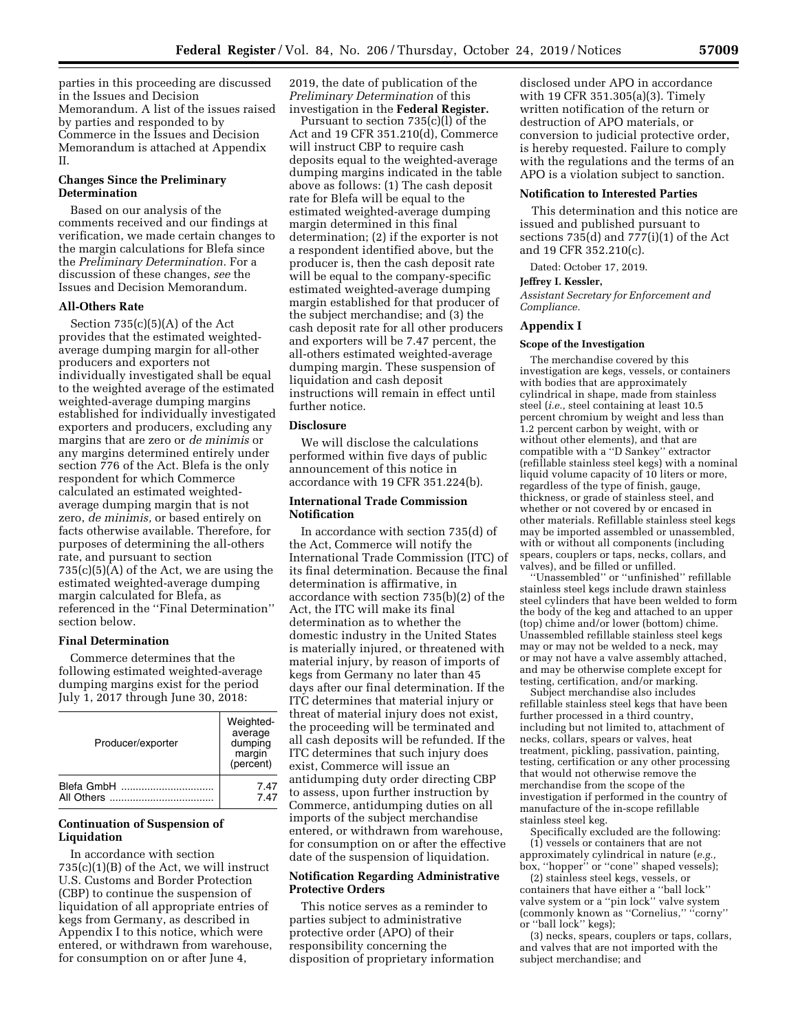parties in this proceeding are discussed in the Issues and Decision Memorandum. A list of the issues raised by parties and responded to by Commerce in the Issues and Decision Memorandum is attached at Appendix II.

# **Changes Since the Preliminary Determination**

Based on our analysis of the comments received and our findings at verification, we made certain changes to the margin calculations for Blefa since the *Preliminary Determination.* For a discussion of these changes, *see* the Issues and Decision Memorandum.

# **All-Others Rate**

Section  $735(c)(5)(A)$  of the Act provides that the estimated weightedaverage dumping margin for all-other producers and exporters not individually investigated shall be equal to the weighted average of the estimated weighted-average dumping margins established for individually investigated exporters and producers, excluding any margins that are zero or *de minimis* or any margins determined entirely under section 776 of the Act. Blefa is the only respondent for which Commerce calculated an estimated weightedaverage dumping margin that is not zero, *de minimis,* or based entirely on facts otherwise available. Therefore, for purposes of determining the all-others rate, and pursuant to section 735(c)(5)(A) of the Act, we are using the estimated weighted-average dumping margin calculated for Blefa, as referenced in the ''Final Determination'' section below.

# **Final Determination**

Commerce determines that the following estimated weighted-average dumping margins exist for the period July 1, 2017 through June 30, 2018:

| Producer/exporter | Weighted-<br>average<br>dumping<br>margin<br>(percent) |
|-------------------|--------------------------------------------------------|
| Blefa GmbH        | 7.47                                                   |
|                   | 7.47                                                   |

# **Continuation of Suspension of Liquidation**

In accordance with section 735(c)(1)(B) of the Act, we will instruct U.S. Customs and Border Protection (CBP) to continue the suspension of liquidation of all appropriate entries of kegs from Germany, as described in Appendix I to this notice, which were entered, or withdrawn from warehouse, for consumption on or after June 4,

2019, the date of publication of the *Preliminary Determination* of this investigation in the **Federal Register.** 

Pursuant to section 735(c)(l) of the Act and 19 CFR 351.210(d), Commerce will instruct CBP to require cash deposits equal to the weighted-average dumping margins indicated in the table above as follows: (1) The cash deposit rate for Blefa will be equal to the estimated weighted-average dumping margin determined in this final determination; (2) if the exporter is not a respondent identified above, but the producer is, then the cash deposit rate will be equal to the company-specific estimated weighted-average dumping margin established for that producer of the subject merchandise; and (3) the cash deposit rate for all other producers and exporters will be 7.47 percent, the all-others estimated weighted-average dumping margin. These suspension of liquidation and cash deposit instructions will remain in effect until further notice.

# **Disclosure**

We will disclose the calculations performed within five days of public announcement of this notice in accordance with 19 CFR 351.224(b).

### **International Trade Commission Notification**

In accordance with section 735(d) of the Act, Commerce will notify the International Trade Commission (ITC) of its final determination. Because the final determination is affirmative, in accordance with section 735(b)(2) of the Act, the ITC will make its final determination as to whether the domestic industry in the United States is materially injured, or threatened with material injury, by reason of imports of kegs from Germany no later than 45 days after our final determination. If the ITC determines that material injury or threat of material injury does not exist, the proceeding will be terminated and all cash deposits will be refunded. If the ITC determines that such injury does exist, Commerce will issue an antidumping duty order directing CBP to assess, upon further instruction by Commerce, antidumping duties on all imports of the subject merchandise entered, or withdrawn from warehouse, for consumption on or after the effective date of the suspension of liquidation.

# **Notification Regarding Administrative Protective Orders**

This notice serves as a reminder to parties subject to administrative protective order (APO) of their responsibility concerning the disposition of proprietary information

disclosed under APO in accordance with 19 CFR 351.305(a)(3). Timely written notification of the return or destruction of APO materials, or conversion to judicial protective order, is hereby requested. Failure to comply with the regulations and the terms of an APO is a violation subject to sanction.

### **Notification to Interested Parties**

This determination and this notice are issued and published pursuant to sections 735(d) and 777(i)(1) of the Act and 19 CFR 352.210(c).

Dated: October 17, 2019.

#### **Jeffrey I. Kessler,**

*Assistant Secretary for Enforcement and Compliance.* 

#### **Appendix I**

#### **Scope of the Investigation**

The merchandise covered by this investigation are kegs, vessels, or containers with bodies that are approximately cylindrical in shape, made from stainless steel (*i.e.,* steel containing at least 10.5 percent chromium by weight and less than 1.2 percent carbon by weight, with or without other elements), and that are compatible with a ''D Sankey'' extractor (refillable stainless steel kegs) with a nominal liquid volume capacity of 10 liters or more, regardless of the type of finish, gauge, thickness, or grade of stainless steel, and whether or not covered by or encased in other materials. Refillable stainless steel kegs may be imported assembled or unassembled, with or without all components (including spears, couplers or taps, necks, collars, and valves), and be filled or unfilled.

''Unassembled'' or ''unfinished'' refillable stainless steel kegs include drawn stainless steel cylinders that have been welded to form the body of the keg and attached to an upper (top) chime and/or lower (bottom) chime. Unassembled refillable stainless steel kegs may or may not be welded to a neck, may or may not have a valve assembly attached, and may be otherwise complete except for testing, certification, and/or marking.

Subject merchandise also includes refillable stainless steel kegs that have been further processed in a third country, including but not limited to, attachment of necks, collars, spears or valves, heat treatment, pickling, passivation, painting, testing, certification or any other processing that would not otherwise remove the merchandise from the scope of the investigation if performed in the country of manufacture of the in-scope refillable stainless steel keg.

Specifically excluded are the following: (1) vessels or containers that are not approximately cylindrical in nature (*e.g.,* 

box, "hopper" or "cone" shaped vessels); (2) stainless steel kegs, vessels, or containers that have either a ''ball lock'' valve system or a ''pin lock'' valve system (commonly known as ''Cornelius,'' ''corny'' or ''ball lock'' kegs);

(3) necks, spears, couplers or taps, collars, and valves that are not imported with the subject merchandise; and